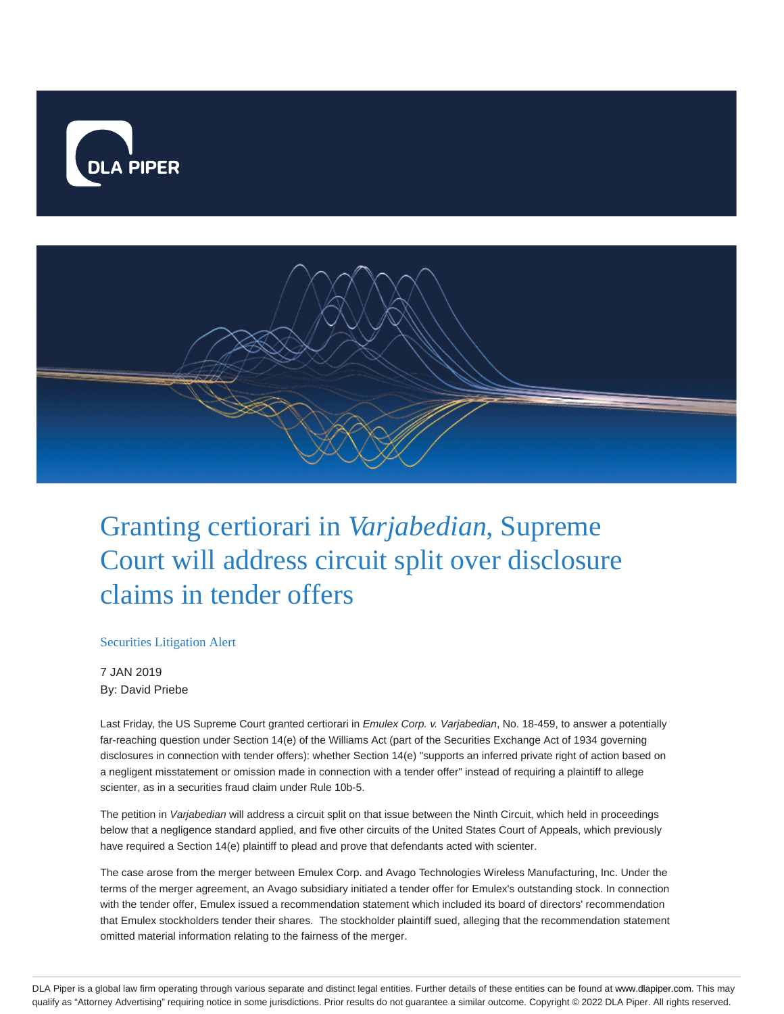



## Granting certiorari in *Varjabedian*, Supreme Court will address circuit split over disclosure claims in tender offers

## Securities Litigation Alert

7 JAN 2019 By: David Priebe

Last Friday, the US Supreme Court granted certiorari in Emulex Corp. v. Varjabedian, No. 18-459, to answer a potentially far-reaching question under Section 14(e) of the Williams Act (part of the Securities Exchange Act of 1934 governing disclosures in connection with tender offers): whether Section 14(e) "supports an inferred private right of action based on a negligent misstatement or omission made in connection with a tender offer" instead of requiring a plaintiff to allege scienter, as in a securities fraud claim under Rule 10b-5.

The petition in Varjabedian will address a circuit split on that issue between the Ninth Circuit, which held in proceedings below that a negligence standard applied, and five other circuits of the United States Court of Appeals, which previously have required a Section 14(e) plaintiff to plead and prove that defendants acted with scienter.

The case arose from the merger between Emulex Corp. and Avago Technologies Wireless Manufacturing, Inc. Under the terms of the merger agreement, an Avago subsidiary initiated a tender offer for Emulex's outstanding stock. In connection with the tender offer, Emulex issued a recommendation statement which included its board of directors' recommendation that Emulex stockholders tender their shares. The stockholder plaintiff sued, alleging that the recommendation statement omitted material information relating to the fairness of the merger.

DLA Piper is a global law firm operating through various separate and distinct legal entities. Further details of these entities can be found at www.dlapiper.com. This may qualify as "Attorney Advertising" requiring notice in some jurisdictions. Prior results do not guarantee a similar outcome. Copyright @ 2022 DLA Piper. All rights reserved.